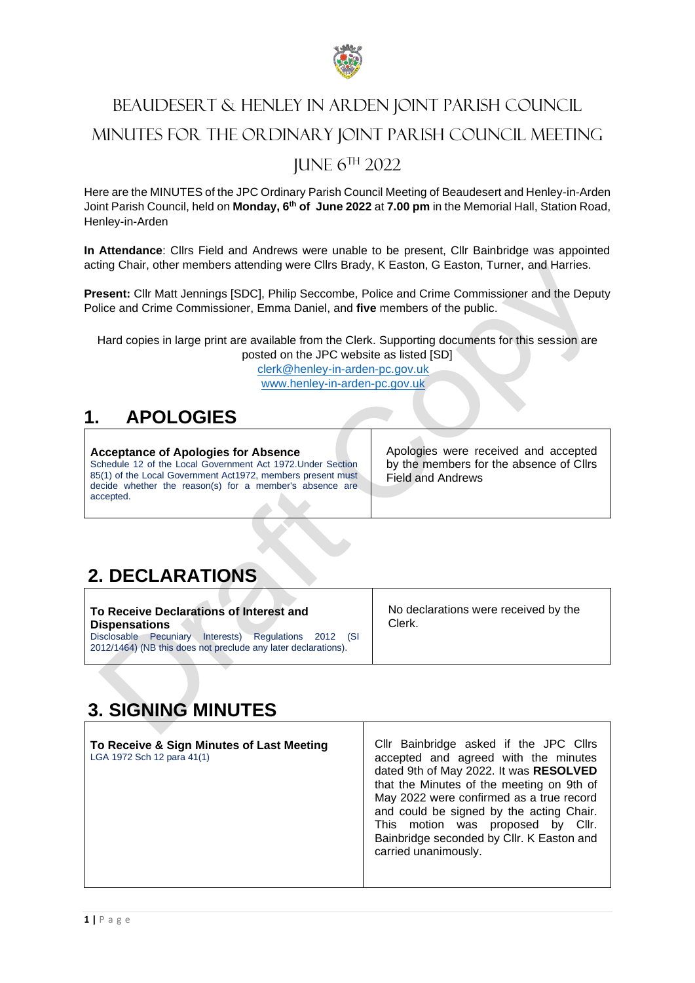

# BEAUDESERT & HENLEY IN ARDEN JOINT PARISH COUNCIL MINUTES FOR THE ORDINARY JOINT PARISH COUNCIL MEETING JUNE 6 TH 2022

Here are the MINUTES of the JPC Ordinary Parish Council Meeting of Beaudesert and Henley-in-Arden Joint Parish Council, held on **Monday, 6 th of June 2022** at **7.00 pm** in the Memorial Hall, Station Road, Henley-in-Arden

**In Attendance**: Cllrs Field and Andrews were unable to be present, Cllr Bainbridge was appointed acting Chair, other members attending were Cllrs Brady, K Easton, G Easton, Turner, and Harries.

**Present:** Cllr Matt Jennings [SDC], Philip Seccombe, Police and Crime Commissioner and the Deputy Police and Crime Commissioner, Emma Daniel, and **five** members of the public.

Hard copies in large print are available from the Clerk. Supporting documents for this session are posted on the JPC website as listed [SD]

> [clerk@henley-in-arden-pc.gov.uk](mailto:clerk@henley-in-arden-pc.gov.uk) [www.henley-in-arden-pc.gov.uk](http://www.henley-in-arden-pc.gov.uk/)

# **1. APOLOGIES**

**Acceptance of Apologies for Absence** Schedule 12 of the Local Government Act 1972.Under Section 85(1) of the Local Government Act1972, members present must decide whether the reason(s) for a member's absence are accepted.

Apologies were received and accepted by the members for the absence of Cllrs Field and Andrews

# **2. DECLARATIONS**

| To Receive Declarations of Interest and                                                                                      | No declarations were received by the |
|------------------------------------------------------------------------------------------------------------------------------|--------------------------------------|
| <b>Dispensations</b>                                                                                                         | Clerk.                               |
| Regulations 2012<br>Interests)<br>Pecuniary<br>Disclosable<br>2012/1464) (NB this does not preclude any later declarations). |                                      |

# **3. SIGNING MINUTES**

| To Receive & Sign Minutes of Last Meeting<br>LGA 1972 Sch 12 para 41(1) | Cllr Bainbridge asked if the JPC Cllrs<br>accepted and agreed with the minutes<br>dated 9th of May 2022. It was RESOLVED<br>that the Minutes of the meeting on 9th of<br>May 2022 were confirmed as a true record<br>and could be signed by the acting Chair.<br>This motion was proposed by Cllr.<br>Bainbridge seconded by Cllr. K Easton and<br>carried unanimously. |
|-------------------------------------------------------------------------|-------------------------------------------------------------------------------------------------------------------------------------------------------------------------------------------------------------------------------------------------------------------------------------------------------------------------------------------------------------------------|
|                                                                         |                                                                                                                                                                                                                                                                                                                                                                         |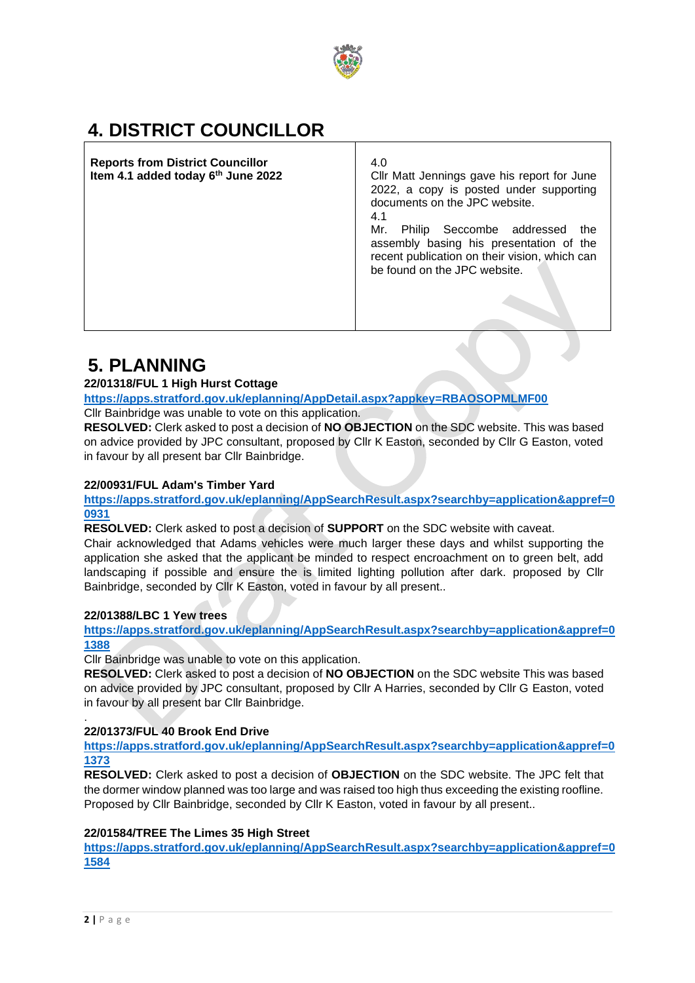

# **4. DISTRICT COUNCILLOR**

**Reports from District Councillor Item 4.1 added today 6th June 2022** 4.0 Cllr Matt Jennings gave his report for June 2022, a copy is posted under supporting documents on the JPC website. 4.1 Mr. Philip Seccombe addressed the assembly basing his presentation of the recent publication on their vision, which can be found on the JPC website.

# **5. PLANNING**

## **22/01318/FUL 1 High Hurst Cottage**

**<https://apps.stratford.gov.uk/eplanning/AppDetail.aspx?appkey=RBAOSOPMLMF00>**

Cllr Bainbridge was unable to vote on this application.

**RESOLVED:** Clerk asked to post a decision of **NO OBJECTION** on the SDC website. This was based on advice provided by JPC consultant, proposed by Cllr K Easton, seconded by Cllr G Easton, voted in favour by all present bar Cllr Bainbridge.

## **22/00931/FUL Adam's Timber Yard**

**[https://apps.stratford.gov.uk/eplanning/AppSearchResult.aspx?searchby=application&appref=0](https://apps.stratford.gov.uk/eplanning/AppSearchResult.aspx?searchby=application&appref=00931) [0931](https://apps.stratford.gov.uk/eplanning/AppSearchResult.aspx?searchby=application&appref=00931)**

**RESOLVED:** Clerk asked to post a decision of **SUPPORT** on the SDC website with caveat. Chair acknowledged that Adams vehicles were much larger these days and whilst supporting the application she asked that the applicant be minded to respect encroachment on to green belt, add landscaping if possible and ensure the is limited lighting pollution after dark. proposed by Cllr Bainbridge, seconded by Cllr K Easton, voted in favour by all present..

## **22/01388/LBC 1 Yew trees**

**[https://apps.stratford.gov.uk/eplanning/AppSearchResult.aspx?searchby=application&appref=0](https://apps.stratford.gov.uk/eplanning/AppSearchResult.aspx?searchby=application&appref=01388) [1388](https://apps.stratford.gov.uk/eplanning/AppSearchResult.aspx?searchby=application&appref=01388)**

Cllr Bainbridge was unable to vote on this application.

**RESOLVED:** Clerk asked to post a decision of **NO OBJECTION** on the SDC website This was based on advice provided by JPC consultant, proposed by Cllr A Harries, seconded by Cllr G Easton, voted in favour by all present bar Cllr Bainbridge.

## **22/01373/FUL 40 Brook End Drive**

**[https://apps.stratford.gov.uk/eplanning/AppSearchResult.aspx?searchby=application&appref=0](https://apps.stratford.gov.uk/eplanning/AppSearchResult.aspx?searchby=application&appref=01373) [1373](https://apps.stratford.gov.uk/eplanning/AppSearchResult.aspx?searchby=application&appref=01373)**

**RESOLVED:** Clerk asked to post a decision of **OBJECTION** on the SDC website. The JPC felt that the dormer window planned was too large and was raised too high thus exceeding the existing roofline. Proposed by Cllr Bainbridge, seconded by Cllr K Easton, voted in favour by all present..

## **22/01584/TREE The Limes 35 High Street**

**[https://apps.stratford.gov.uk/eplanning/AppSearchResult.aspx?searchby=application&appref=0](https://apps.stratford.gov.uk/eplanning/AppSearchResult.aspx?searchby=application&appref=01584) [1584](https://apps.stratford.gov.uk/eplanning/AppSearchResult.aspx?searchby=application&appref=01584)**

.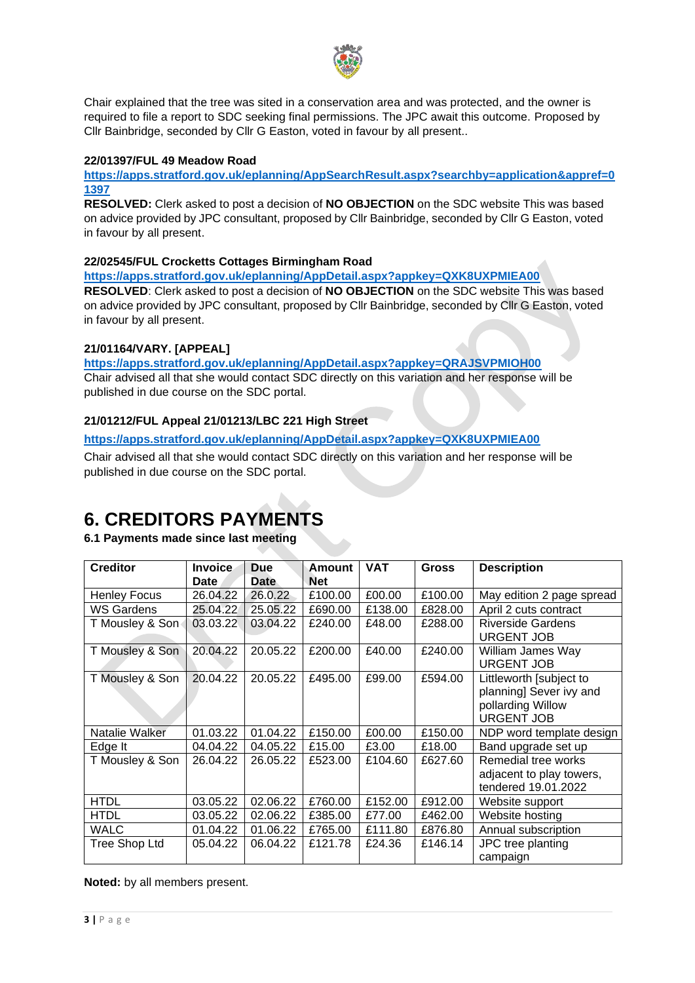

Chair explained that the tree was sited in a conservation area and was protected, and the owner is required to file a report to SDC seeking final permissions. The JPC await this outcome. Proposed by Cllr Bainbridge, seconded by Cllr G Easton, voted in favour by all present..

#### **22/01397/FUL 49 Meadow Road**

**[https://apps.stratford.gov.uk/eplanning/AppSearchResult.aspx?searchby=application&appref=0](https://apps.stratford.gov.uk/eplanning/AppSearchResult.aspx?searchby=application&appref=01397) [1397](https://apps.stratford.gov.uk/eplanning/AppSearchResult.aspx?searchby=application&appref=01397)**

**RESOLVED:** Clerk asked to post a decision of **NO OBJECTION** on the SDC website This was based on advice provided by JPC consultant, proposed by Cllr Bainbridge, seconded by Cllr G Easton, voted in favour by all present.

#### **22/02545/FUL Crocketts Cottages Birmingham Road**

**<https://apps.stratford.gov.uk/eplanning/AppDetail.aspx?appkey=QXK8UXPMIEA00>**

**RESOLVED**: Clerk asked to post a decision of **NO OBJECTION** on the SDC website This was based on advice provided by JPC consultant, proposed by Cllr Bainbridge, seconded by Cllr G Easton, voted in favour by all present.

#### **21/01164/VARY. [APPEAL]**

**<https://apps.stratford.gov.uk/eplanning/AppDetail.aspx?appkey=QRAJSVPMIOH00>**

Chair advised all that she would contact SDC directly on this variation and her response will be published in due course on the SDC portal.

#### **21/01212/FUL Appeal 21/01213/LBC 221 High Street**

**<https://apps.stratford.gov.uk/eplanning/AppDetail.aspx?appkey=QXK8UXPMIEA00>**

Chair advised all that she would contact SDC directly on this variation and her response will be published in due course on the SDC portal.

# **6. CREDITORS PAYMENTS**

## **6.1 Payments made since last meeting**

| <b>Creditor</b>     | <b>Invoice</b> | <b>Due</b>  | Amount     | <b>VAT</b> | <b>Gross</b> | <b>Description</b>                                                                           |
|---------------------|----------------|-------------|------------|------------|--------------|----------------------------------------------------------------------------------------------|
|                     | Date           | <b>Date</b> | <b>Net</b> |            |              |                                                                                              |
| <b>Henley Focus</b> | 26.04.22       | 26.0.22     | £100.00    | £00.00     | £100.00      | May edition 2 page spread                                                                    |
| WS Gardens          | 25.04.22       | 25.05.22    | £690.00    | £138.00    | £828.00      | April 2 cuts contract                                                                        |
| T Mousley & Son     | 03.03.22       | 03.04.22    | £240.00    | £48.00     | £288.00      | <b>Riverside Gardens</b><br><b>URGENT JOB</b>                                                |
| T Mousley & Son     | 20.04.22       | 20.05.22    | £200.00    | £40.00     | £240.00      | William James Way<br><b>URGENT JOB</b>                                                       |
| T Mousley & Son     | 20.04.22       | 20.05.22    | £495.00    | £99.00     | £594.00      | Littleworth [subject to<br>planning] Sever ivy and<br>pollarding Willow<br><b>URGENT JOB</b> |
| Natalie Walker      | 01.03.22       | 01.04.22    | £150.00    | £00.00     | £150.00      | NDP word template design                                                                     |
| Edge It             | 04.04.22       | 04.05.22    | £15.00     | £3.00      | £18.00       | Band upgrade set up                                                                          |
| T Mousley & Son     | 26.04.22       | 26.05.22    | £523.00    | £104.60    | £627.60      | Remedial tree works<br>adjacent to play towers,<br>tendered 19.01.2022                       |
| <b>HTDL</b>         | 03.05.22       | 02.06.22    | £760.00    | £152.00    | £912.00      | Website support                                                                              |
| <b>HTDL</b>         | 03.05.22       | 02.06.22    | £385.00    | £77.00     | £462.00      | Website hosting                                                                              |
| <b>WALC</b>         | 01.04.22       | 01.06.22    | £765.00    | £111.80    | £876.80      | Annual subscription                                                                          |
| Tree Shop Ltd       | 05.04.22       | 06.04.22    | £121.78    | £24.36     | £146.14      | JPC tree planting<br>campaign                                                                |

**Noted:** by all members present.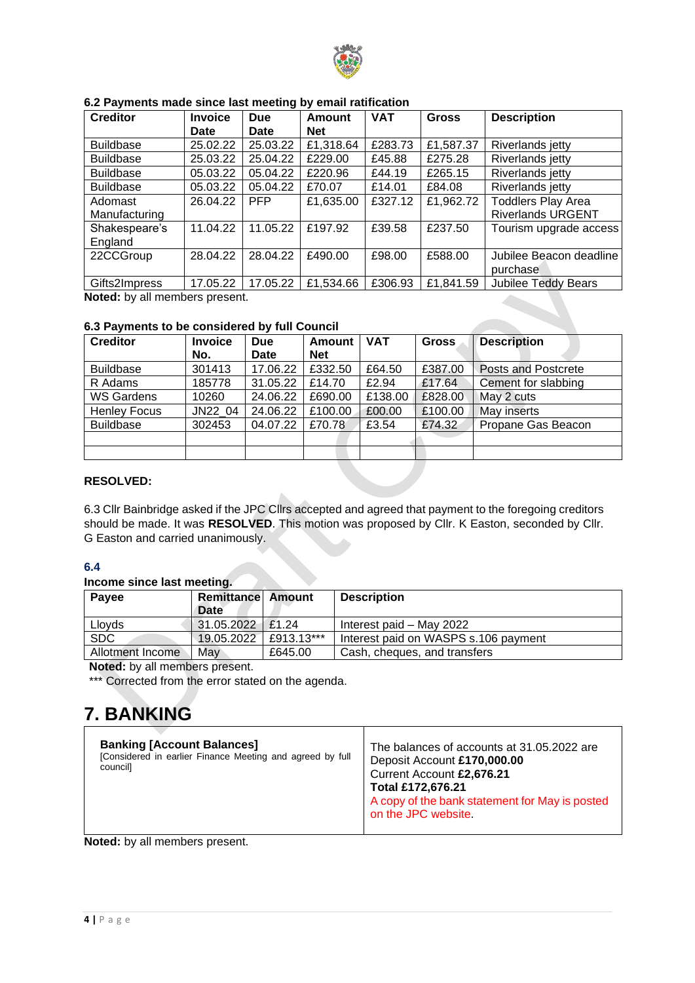

| <b>Creditor</b>          | <b>Invoice</b> | <b>Due</b>  | <b>Amount</b> | <b>VAT</b> | <b>Gross</b> | <b>Description</b>                                    |
|--------------------------|----------------|-------------|---------------|------------|--------------|-------------------------------------------------------|
|                          | <b>Date</b>    | <b>Date</b> | <b>Net</b>    |            |              |                                                       |
| <b>Buildbase</b>         | 25.02.22       | 25.03.22    | £1,318.64     | £283.73    | £1,587.37    | Riverlands jetty                                      |
| <b>Buildbase</b>         | 25.03.22       | 25.04.22    | £229.00       | £45.88     | £275.28      | Riverlands jetty                                      |
| <b>Buildbase</b>         | 05.03.22       | 05.04.22    | £220.96       | £44.19     | £265.15      | Riverlands jetty                                      |
| <b>Buildbase</b>         | 05.03.22       | 05.04.22    | £70.07        | £14.01     | £84.08       | Riverlands jetty                                      |
| Adomast<br>Manufacturing | 26.04.22       | <b>PFP</b>  | £1,635.00     | £327.12    | £1,962.72    | <b>Toddlers Play Area</b><br><b>Riverlands URGENT</b> |
| Shakespeare's<br>England | 11.04.22       | 11.05.22    | £197.92       | £39.58     | £237.50      | Tourism upgrade access                                |
| 22CCGroup                | 28.04.22       | 28.04.22    | £490.00       | £98.00     | £588.00      | Jubilee Beacon deadline<br>purchase                   |
| Gifts2Impress            | 17.05.22       | 17.05.22    | £1,534.66     | £306.93    | £1,841.59    | <b>Jubilee Teddy Bears</b>                            |

#### **6.2 Payments made since last meeting by email ratification**

**Noted:** by all members present.

## **6.3 Payments to be considered by full Council**

| <b>Creditor</b>     | <b>Invoice</b><br>No. | <b>Due</b><br>Date | <b>Amount</b><br><b>Net</b> | <b>VAT</b> | <b>Gross</b> | <b>Description</b>         |
|---------------------|-----------------------|--------------------|-----------------------------|------------|--------------|----------------------------|
| <b>Buildbase</b>    | 301413                | 17.06.22           | £332.50                     | £64.50     | £387.00      | <b>Posts and Postcrete</b> |
| R Adams             | 185778                | 31.05.22           | £14.70                      | £2.94      | £17.64       | Cement for slabbing        |
| <b>WS Gardens</b>   | 10260                 | 24.06.22           | £690.00                     | £138.00    | £828.00      | May 2 cuts                 |
| <b>Henley Focus</b> | JN22 04               | 24.06.22           | £100.00                     | £00.00     | £100.00      | May inserts                |
| <b>Buildbase</b>    | 302453                | 04.07.22           | £70.78                      | £3.54      | £74.32       | Propane Gas Beacon         |
|                     |                       |                    |                             |            |              |                            |
|                     |                       |                    |                             |            |              |                            |

## **RESOLVED:**

6.3 Cllr Bainbridge asked if the JPC Cllrs accepted and agreed that payment to the foregoing creditors should be made. It was **RESOLVED**. This motion was proposed by Cllr. K Easton, seconded by Cllr. G Easton and carried unanimously.

## **6.4**

#### **Income since last meeting.**

| <b>Payee</b>     | <b>Remittancel Amount</b><br>Date |            | <b>Description</b>                   |
|------------------|-----------------------------------|------------|--------------------------------------|
| Lloyds           | 31.05.2022                        | £1.24      | Interest paid – May 2022             |
| <b>SDC</b>       | 19.05.2022                        | £913.13*** | Interest paid on WASPS s.106 payment |
| Allotment Income | Mav                               | £645.00    | Cash, cheques, and transfers         |

**Noted:** by all members present.

\*\*\* Corrected from the error stated on the agenda.

# **7. BANKING**

| <b>Banking [Account Balances]</b><br>[Considered in earlier Finance Meeting and agreed by full<br>council] | The balances of accounts at 31.05.2022 are<br>Deposit Account £170,000.00<br>Current Account £2,676.21<br>Total £172,676.21<br>A copy of the bank statement for May is posted<br>on the JPC website |
|------------------------------------------------------------------------------------------------------------|-----------------------------------------------------------------------------------------------------------------------------------------------------------------------------------------------------|
|------------------------------------------------------------------------------------------------------------|-----------------------------------------------------------------------------------------------------------------------------------------------------------------------------------------------------|

**Noted:** by all members present.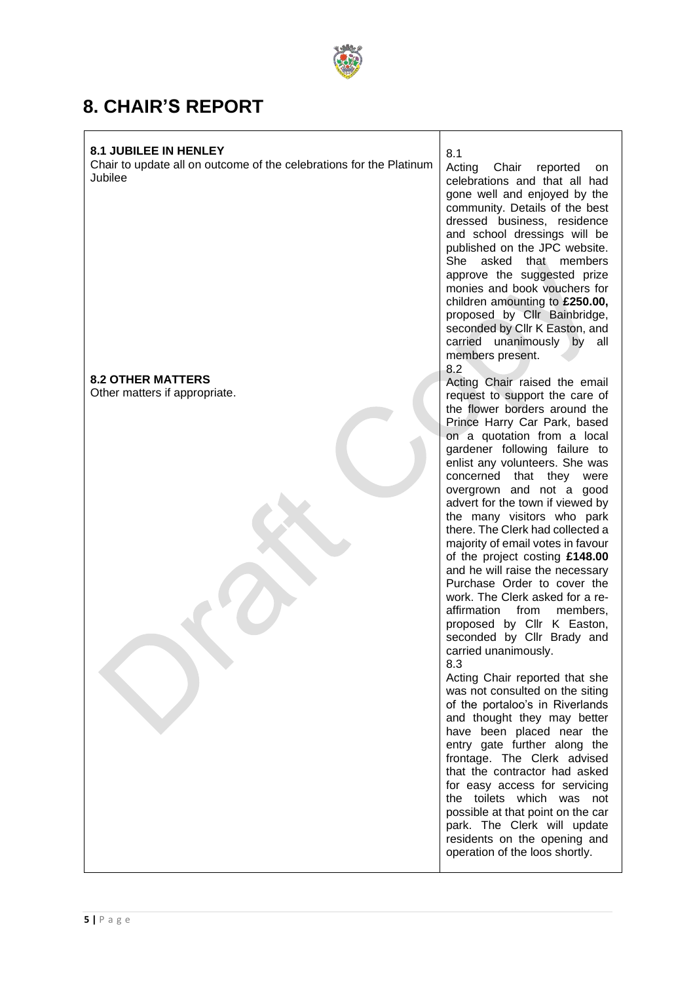

# **8. CHAIR'S REPORT**

## **8.1 JUBILEE IN HENLEY**

Chair to update all on outcome of the celebrations for the Platinum Jubilee

## **8.2 OTHER MATTERS**

Other matters if appropriate.

8.1 Acting Chair reported on celebrations and that all had gone well and enjoyed by the community. Details of the best dressed business, residence and school dressings will be published on the JPC website. She asked that members approve the suggested prize monies and book vouchers for children amounting to **£250.00,** proposed by Cllr Bainbridge, seconded by Cllr K Easton, and carried unanimously by all members present. 8.2

Acting Chair raised the email request to support the care of the flower borders around the Prince Harry Car Park, based on a quotation from a local gardener following failure to enlist any volunteers. She was concerned that they were overgrown and not a good advert for the town if viewed by the many visitors who park there. The Clerk had collected a majority of email votes in favour of the project costing **£148.00** and he will raise the necessary Purchase Order to cover the work. The Clerk asked for a reaffirmation from members, proposed by Cllr K Easton, seconded by Cllr Brady and carried unanimously. 8.3

Acting Chair reported that she was not consulted on the siting of the portaloo's in Riverlands and thought they may better have been placed near the entry gate further along the frontage. The Clerk advised that the contractor had asked for easy access for servicing the toilets which was not possible at that point on the car park. The Clerk will update residents on the opening and operation of the loos shortly.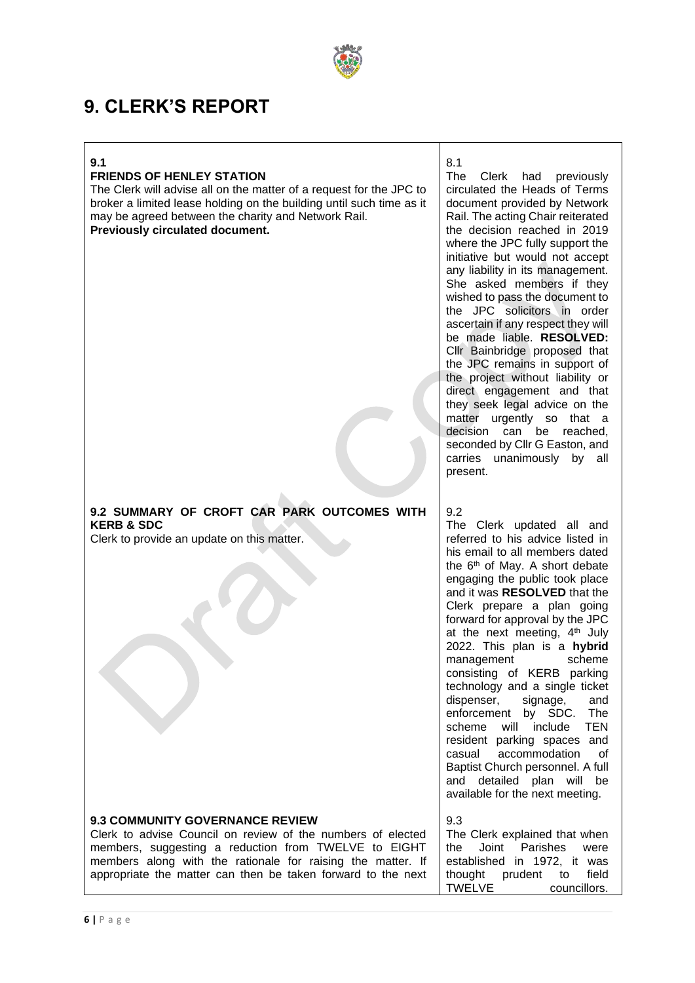

# **9. CLERK'S REPORT**

#### **9.1**

## **FRIENDS OF HENLEY STATION**

The Clerk will advise all on the matter of a request for the JPC to broker a limited lease holding on the building until such time as it may be agreed between the charity and Network Rail. **Previously circulated document.**

|                                                                                                                                                                                                                                                                                              | they seek legal advice on the<br>urgently so that a<br>matter<br>decision<br>can<br>be<br>reached.<br>seconded by Cllr G Easton, and<br>carries unanimously by all<br>present.                                                                                                                                                                                                                                                                                                                                                                                                                                                                                                                                                               |
|----------------------------------------------------------------------------------------------------------------------------------------------------------------------------------------------------------------------------------------------------------------------------------------------|----------------------------------------------------------------------------------------------------------------------------------------------------------------------------------------------------------------------------------------------------------------------------------------------------------------------------------------------------------------------------------------------------------------------------------------------------------------------------------------------------------------------------------------------------------------------------------------------------------------------------------------------------------------------------------------------------------------------------------------------|
| 9.2 SUMMARY OF CROFT CAR PARK OUTCOMES WITH<br><b>KERB &amp; SDC</b><br>Clerk to provide an update on this matter.                                                                                                                                                                           | 9.2<br>The Clerk updated all and<br>referred to his advice listed in<br>his email to all members dated<br>the 6 <sup>th</sup> of May. A short debate<br>engaging the public took place<br>and it was RESOLVED that the<br>Clerk prepare a plan going<br>forward for approval by the JPC<br>at the next meeting, 4 <sup>th</sup> July<br>2022. This plan is a hybrid<br>scheme<br>management<br>consisting of KERB parking<br>technology and a single ticket<br>dispenser,<br>signage,<br>and<br>enforcement<br>by SDC.<br>The<br>scheme<br><b>TEN</b><br>will<br>include<br>resident parking spaces and<br>accommodation<br>of<br>casual<br>Baptist Church personnel. A full<br>and detailed plan will be<br>available for the next meeting. |
| <b>9.3 COMMUNITY GOVERNANCE REVIEW</b><br>Clerk to advise Council on review of the numbers of elected<br>members, suggesting a reduction from TWELVE to EIGHT<br>members along with the rationale for raising the matter. If<br>appropriate the matter can then be taken forward to the next | 9.3<br>The Clerk explained that when<br>Joint<br>Parishes<br>the<br>were<br>established in 1972, it was<br>thought<br>prudent<br>field<br>to<br><b>TWELVE</b><br>councillors.                                                                                                                                                                                                                                                                                                                                                                                                                                                                                                                                                                |

circulated the Heads of Terms document provided by Network Rail. The acting Chair reiterated the decision reached in 2019 where the JPC fully support the initiative but would not accept any liability in its management. She asked members if they wished to pass the document to the JPC solicitors in order ascertain if any respect they will be made liable. **RESOLVED:** Cllr Bainbridge proposed that the JPC remains in support of the project without liability or direct engagement and that they seek legal advice on the matter urgently so that a decision can be reached, seconded by Cllr G Easton, and carries unanimously by all

The Clerk had previously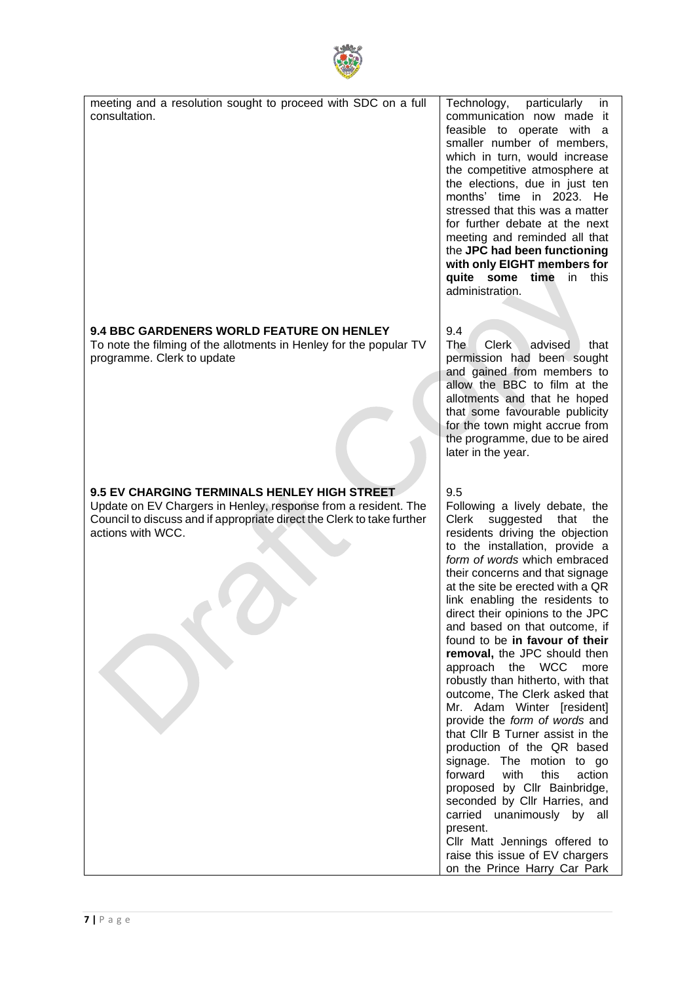

| meeting and a resolution sought to proceed with SDC on a full<br>consultation.                                                                                                                                       | Technology,<br>particularly<br>in.<br>communication now made it<br>feasible to operate with a<br>smaller number of members,<br>which in turn, would increase<br>the competitive atmosphere at<br>the elections, due in just ten<br>months' time in 2023. He<br>stressed that this was a matter<br>for further debate at the next<br>meeting and reminded all that<br>the JPC had been functioning<br>with only EIGHT members for<br>quite some time<br>in<br>this<br>administration.                                                                                                                                                                                                                                                                                                                                                                                                                                                                          |
|----------------------------------------------------------------------------------------------------------------------------------------------------------------------------------------------------------------------|---------------------------------------------------------------------------------------------------------------------------------------------------------------------------------------------------------------------------------------------------------------------------------------------------------------------------------------------------------------------------------------------------------------------------------------------------------------------------------------------------------------------------------------------------------------------------------------------------------------------------------------------------------------------------------------------------------------------------------------------------------------------------------------------------------------------------------------------------------------------------------------------------------------------------------------------------------------|
| <b>9.4 BBC GARDENERS WORLD FEATURE ON HENLEY</b><br>To note the filming of the allotments in Henley for the popular TV<br>programme. Clerk to update                                                                 | 9.4<br><b>The</b><br><b>Clerk</b><br>advised<br>that<br>permission had been sought<br>and gained from members to<br>allow the BBC to film at the<br>allotments and that he hoped<br>that some favourable publicity<br>for the town might accrue from<br>the programme, due to be aired<br>later in the year.                                                                                                                                                                                                                                                                                                                                                                                                                                                                                                                                                                                                                                                  |
| <b>9.5 EV CHARGING TERMINALS HENLEY HIGH STREET</b><br>Update on EV Chargers in Henley, response from a resident. The<br>Council to discuss and if appropriate direct the Clerk to take further<br>actions with WCC. | 9.5<br>Following a lively debate, the<br><b>Clerk</b><br>suggested<br>that<br>the<br>residents driving the objection<br>to the installation, provide a<br>form of words which embraced<br>their concerns and that signage<br>at the site be erected with a QR<br>link enabling the residents to<br>direct their opinions to the JPC<br>and based on that outcome, if<br>found to be in favour of their<br>removal, the JPC should then<br>approach the WCC<br>more<br>robustly than hitherto, with that<br>outcome, The Clerk asked that<br>Mr. Adam Winter [resident]<br>provide the form of words and<br>that CIIr B Turner assist in the<br>production of the QR based<br>signage. The motion to go<br>forward<br>with<br>this<br>action<br>proposed by Cllr Bainbridge,<br>seconded by Cllr Harries, and<br>carried<br>unanimously by all<br>present.<br>Cllr Matt Jennings offered to<br>raise this issue of EV chargers<br>on the Prince Harry Car Park |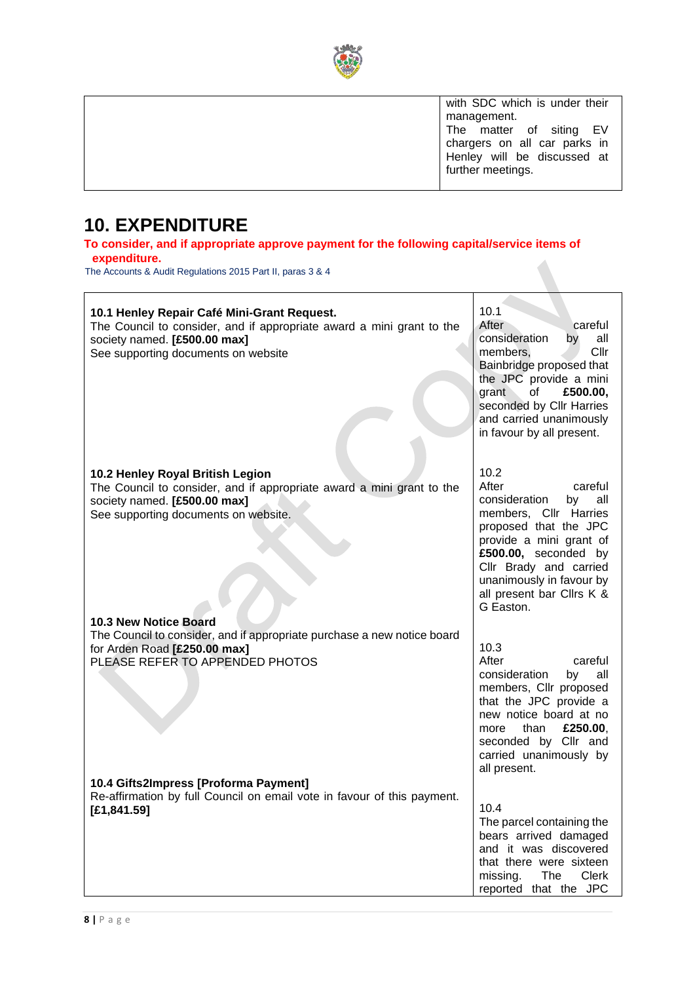

| with SDC which is under their                                                          |
|----------------------------------------------------------------------------------------|
| management.                                                                            |
| The matter of siting EV<br>chargers on all car parks in<br>Henley will be discussed at |
|                                                                                        |
|                                                                                        |
| further meetings.                                                                      |
|                                                                                        |

# **10. EXPENDITURE**

**To consider, and if appropriate approve payment for the following capital/service items of expenditure.**

The Accounts & Audit Regulations 2015 Part II, paras 3 & 4

| 10.1 Henley Repair Café Mini-Grant Request.<br>The Council to consider, and if appropriate award a mini grant to the<br>society named. [£500.00 max]<br>See supporting documents on website                | 10.1<br>After<br>careful<br>consideration<br>by<br>all<br>members.<br>Cllr<br>Bainbridge proposed that<br>the JPC provide a mini<br>£500.00,<br>grant<br>οf<br>seconded by Cllr Harries<br>and carried unanimously<br>in favour by all present.             |
|------------------------------------------------------------------------------------------------------------------------------------------------------------------------------------------------------------|-------------------------------------------------------------------------------------------------------------------------------------------------------------------------------------------------------------------------------------------------------------|
| 10.2 Henley Royal British Legion<br>The Council to consider, and if appropriate award a mini grant to the<br>society named. [£500.00 max]<br>See supporting documents on website.<br>10.3 New Notice Board | 10.2<br>After<br>careful<br>consideration<br>by<br>all<br>members, Cllr Harries<br>proposed that the JPC<br>provide a mini grant of<br>£500.00, seconded by<br>Cllr Brady and carried<br>unanimously in favour by<br>all present bar Cllrs K &<br>G Easton. |
| The Council to consider, and if appropriate purchase a new notice board<br>for Arden Road [£250.00 max]<br>PLEASE REFER TO APPENDED PHOTOS                                                                 | 10.3<br>After<br>careful<br>consideration<br>all<br>by<br>members, Cllr proposed<br>that the JPC provide a<br>new notice board at no<br>than<br>£250.00.<br>more<br>seconded by Cllr and<br>carried unanimously by<br>all present.                          |
| 10.4 Gifts2Impress [Proforma Payment]<br>Re-affirmation by full Council on email vote in favour of this payment.<br>[£1,841.59]                                                                            | 10.4<br>The parcel containing the<br>bears arrived damaged<br>and it was discovered<br>that there were sixteen<br>Clerk<br>missing.<br>The<br>reported that the JPC                                                                                         |